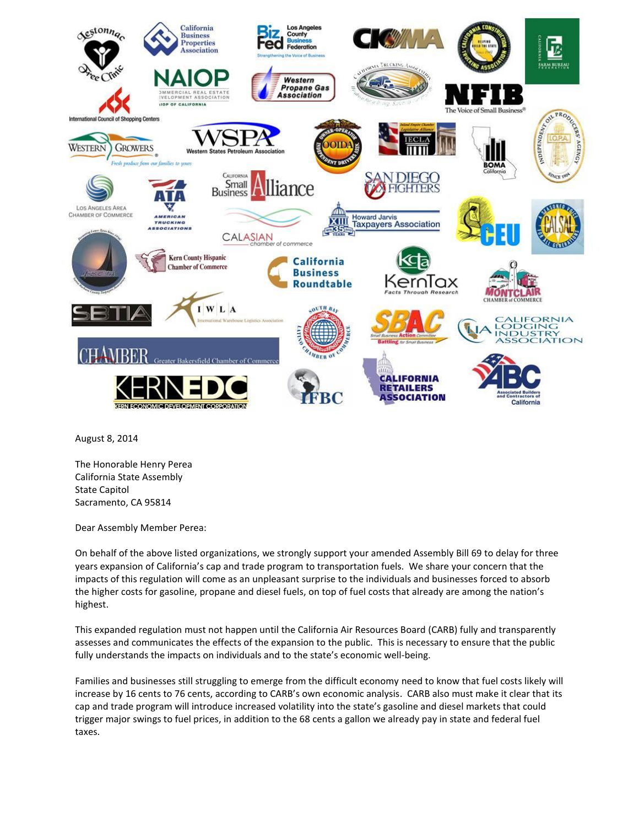

August 8, 2014

The Honorable Henry Perea California State Assembly State Capitol Sacramento, CA 95814

Dear Assembly Member Perea:

On behalf of the above listed organizations, we strongly support your amended Assembly Bill 69 to delay for three years expansion of California's cap and trade program to transportation fuels. We share your concern that the impacts of this regulation will come as an unpleasant surprise to the individuals and businesses forced to absorb the higher costs for gasoline, propane and diesel fuels, on top of fuel costs that already are among the nation's highest.

This expanded regulation must not happen until the California Air Resources Board (CARB) fully and transparently assesses and communicates the effects of the expansion to the public. This is necessary to ensure that the public fully understands the impacts on individuals and to the state's economic well-being.

Families and businesses still struggling to emerge from the difficult economy need to know that fuel costs likely will increase by 16 cents to 76 cents, according to CARB's own economic analysis. CARB also must make it clear that its cap and trade program will introduce increased volatility into the state's gasoline and diesel markets that could trigger major swings to fuel prices, in addition to the 68 cents a gallon we already pay in state and federal fuel taxes.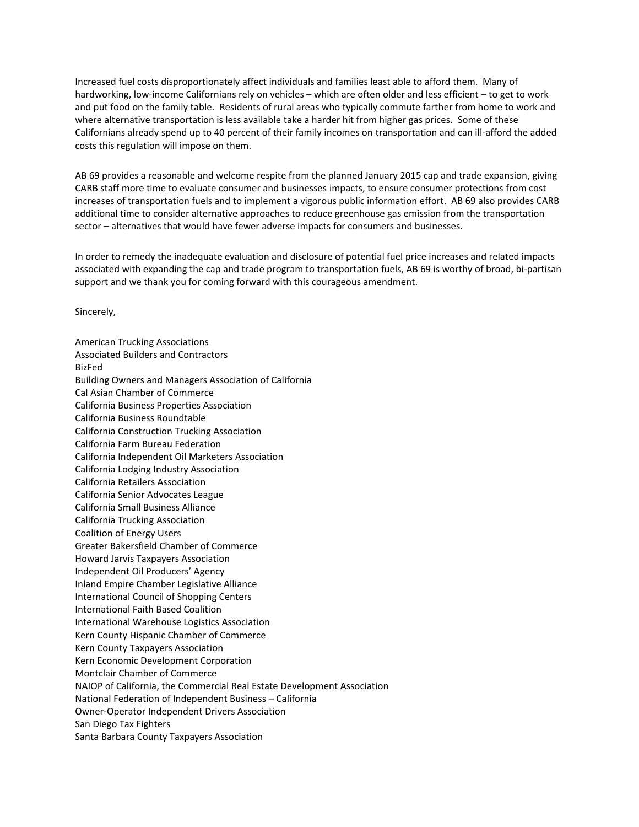Increased fuel costs disproportionately affect individuals and families least able to afford them. Many of hardworking, low-income Californians rely on vehicles – which are often older and less efficient – to get to work and put food on the family table. Residents of rural areas who typically commute farther from home to work and where alternative transportation is less available take a harder hit from higher gas prices. Some of these Californians already spend up to 40 percent of their family incomes on transportation and can ill-afford the added costs this regulation will impose on them.

AB 69 provides a reasonable and welcome respite from the planned January 2015 cap and trade expansion, giving CARB staff more time to evaluate consumer and businesses impacts, to ensure consumer protections from cost increases of transportation fuels and to implement a vigorous public information effort. AB 69 also provides CARB additional time to consider alternative approaches to reduce greenhouse gas emission from the transportation sector – alternatives that would have fewer adverse impacts for consumers and businesses.

In order to remedy the inadequate evaluation and disclosure of potential fuel price increases and related impacts associated with expanding the cap and trade program to transportation fuels, AB 69 is worthy of broad, bi-partisan support and we thank you for coming forward with this courageous amendment.

Sincerely,

American Trucking Associations Associated Builders and Contractors BizFed Building Owners and Managers Association of California Cal Asian Chamber of Commerce California Business Properties Association California Business Roundtable California Construction Trucking Association California Farm Bureau Federation California Independent Oil Marketers Association California Lodging Industry Association California Retailers Association California Senior Advocates League California Small Business Alliance California Trucking Association Coalition of Energy Users Greater Bakersfield Chamber of Commerce Howard Jarvis Taxpayers Association Independent Oil Producers' Agency Inland Empire Chamber Legislative Alliance International Council of Shopping Centers International Faith Based Coalition International Warehouse Logistics Association Kern County Hispanic Chamber of Commerce Kern County Taxpayers Association Kern Economic Development Corporation Montclair Chamber of Commerce NAIOP of California, the Commercial Real Estate Development Association National Federation of Independent Business – California Owner-Operator Independent Drivers Association San Diego Tax Fighters Santa Barbara County Taxpayers Association